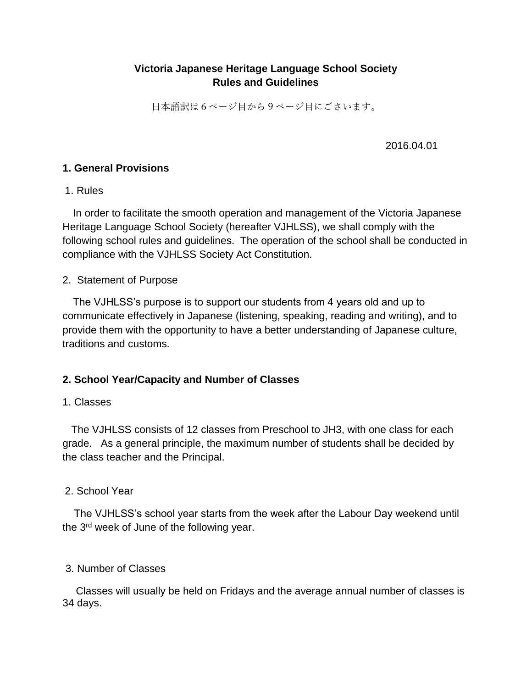# **Victoria Japanese Heritage Language School Society Rules and Guidelines**

日本語訳は6ページ目から9ページ目にごさいます。

2016.04.01

## **1. General Provisions**

## 1. Rules

In order to facilitate the smooth operation and management of the Victoria Japanese Heritage Language School Society (hereafter VJHLSS), we shall comply with the following school rules and guidelines. The operation of the school shall be conducted in compliance with the VJHLSS Society Act Constitution.

## 2. Statement of Purpose

The VJHLSS's purpose is to support our students from 4 years old and up to communicate effectively in Japanese (listening, speaking, reading and writing), and to provide them with the opportunity to have a better understanding of Japanese culture, traditions and customs.

# **2. School Year/Capacity and Number of Classes**

## 1. Classes

 The VJHLSS consists of 12 classes from Preschool to JH3, with one class for each grade. As a general principle, the maximum number of students shall be decided by the class teacher and the Principal.

# 2. School Year

 The VJHLSS's school year starts from the week after the Labour Day weekend until the 3<sup>rd</sup> week of June of the following year.

## 3. Number of Classes

Classes will usually be held on Fridays and the average annual number of classes is 34 days.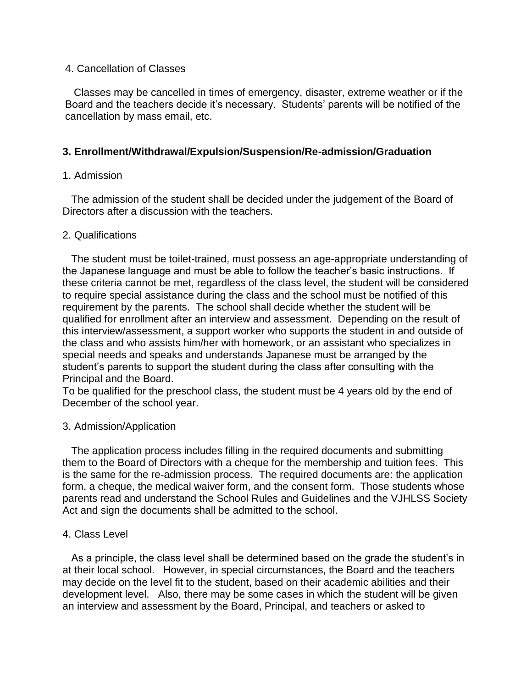#### 4. Cancellation of Classes

 Classes may be cancelled in times of emergency, disaster, extreme weather or if the Board and the teachers decide it's necessary. Students' parents will be notified of the cancellation by mass email, etc.

## **3. Enrollment/Withdrawal/Expulsion/Suspension/Re-admission/Graduation**

## 1. Admission

 The admission of the student shall be decided under the judgement of the Board of Directors after a discussion with the teachers.

## 2. Qualifications

 The student must be toilet-trained, must possess an age-appropriate understanding of the Japanese language and must be able to follow the teacher's basic instructions. If these criteria cannot be met, regardless of the class level, the student will be considered to require special assistance during the class and the school must be notified of this requirement by the parents. The school shall decide whether the student will be qualified for enrollment after an interview and assessment. Depending on the result of this interview/assessment, a support worker who supports the student in and outside of the class and who assists him/her with homework, or an assistant who specializes in special needs and speaks and understands Japanese must be arranged by the student's parents to support the student during the class after consulting with the Principal and the Board.

To be qualified for the preschool class, the student must be 4 years old by the end of December of the school year.

## 3. Admission/Application

 The application process includes filling in the required documents and submitting them to the Board of Directors with a cheque for the membership and tuition fees. This is the same for the re-admission process. The required documents are: the application form, a cheque, the medical waiver form, and the consent form. Those students whose parents read and understand the School Rules and Guidelines and the VJHLSS Society Act and sign the documents shall be admitted to the school.

#### 4. Class Level

 As a principle, the class level shall be determined based on the grade the student's in at their local school. However, in special circumstances, the Board and the teachers may decide on the level fit to the student, based on their academic abilities and their development level. Also, there may be some cases in which the student will be given an interview and assessment by the Board, Principal, and teachers or asked to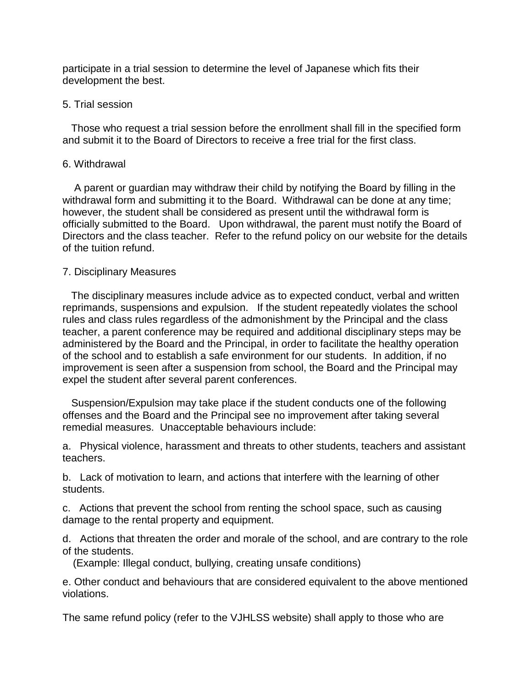participate in a trial session to determine the level of Japanese which fits their development the best.

#### 5. Trial session

 Those who request a trial session before the enrollment shall fill in the specified form and submit it to the Board of Directors to receive a free trial for the first class.

#### 6. Withdrawal

 A parent or guardian may withdraw their child by notifying the Board by filling in the withdrawal form and submitting it to the Board. Withdrawal can be done at any time; however, the student shall be considered as present until the withdrawal form is officially submitted to the Board. Upon withdrawal, the parent must notify the Board of Directors and the class teacher. Refer to the refund policy on our website for the details of the tuition refund.

## 7. Disciplinary Measures

 The disciplinary measures include advice as to expected conduct, verbal and written reprimands, suspensions and expulsion. If the student repeatedly violates the school rules and class rules regardless of the admonishment by the Principal and the class teacher, a parent conference may be required and additional disciplinary steps may be administered by the Board and the Principal, in order to facilitate the healthy operation of the school and to establish a safe environment for our students. In addition, if no improvement is seen after a suspension from school, the Board and the Principal may expel the student after several parent conferences.

 Suspension/Expulsion may take place if the student conducts one of the following offenses and the Board and the Principal see no improvement after taking several remedial measures. Unacceptable behaviours include:

a. Physical violence, harassment and threats to other students, teachers and assistant teachers.

b. Lack of motivation to learn, and actions that interfere with the learning of other students.

c. Actions that prevent the school from renting the school space, such as causing damage to the rental property and equipment.

d. Actions that threaten the order and morale of the school, and are contrary to the role of the students.

(Example: Illegal conduct, bullying, creating unsafe conditions)

e. Other conduct and behaviours that are considered equivalent to the above mentioned violations.

The same refund policy (refer to the VJHLSS website) shall apply to those who are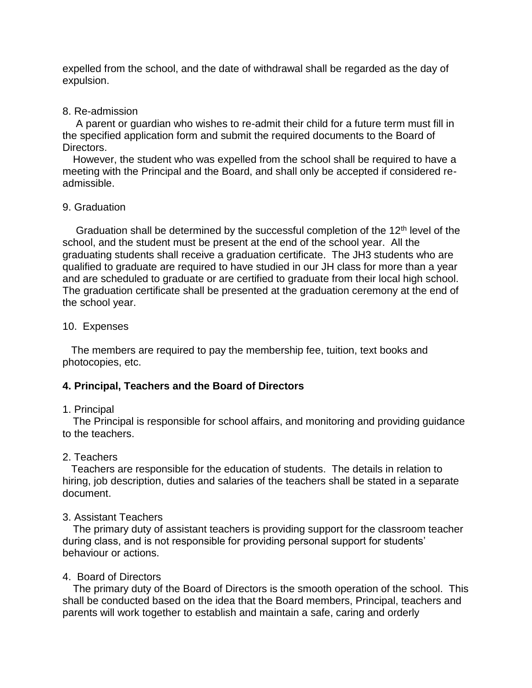expelled from the school, and the date of withdrawal shall be regarded as the day of expulsion.

#### 8. Re-admission

A parent or guardian who wishes to re-admit their child for a future term must fill in the specified application form and submit the required documents to the Board of Directors.

However, the student who was expelled from the school shall be required to have a meeting with the Principal and the Board, and shall only be accepted if considered readmissible.

#### 9. Graduation

Graduation shall be determined by the successful completion of the 12<sup>th</sup> level of the school, and the student must be present at the end of the school year. All the graduating students shall receive a graduation certificate. The JH3 students who are qualified to graduate are required to have studied in our JH class for more than a year and are scheduled to graduate or are certified to graduate from their local high school. The graduation certificate shall be presented at the graduation ceremony at the end of the school year.

#### 10. Expenses

 The members are required to pay the membership fee, tuition, text books and photocopies, etc.

## **4. Principal, Teachers and the Board of Directors**

## 1. Principal

The Principal is responsible for school affairs, and monitoring and providing guidance to the teachers.

## 2. Teachers

 Teachers are responsible for the education of students. The details in relation to hiring, job description, duties and salaries of the teachers shall be stated in a separate document.

#### 3. Assistant Teachers

The primary duty of assistant teachers is providing support for the classroom teacher during class, and is not responsible for providing personal support for students' behaviour or actions.

## 4. Board of Directors

The primary duty of the Board of Directors is the smooth operation of the school. This shall be conducted based on the idea that the Board members, Principal, teachers and parents will work together to establish and maintain a safe, caring and orderly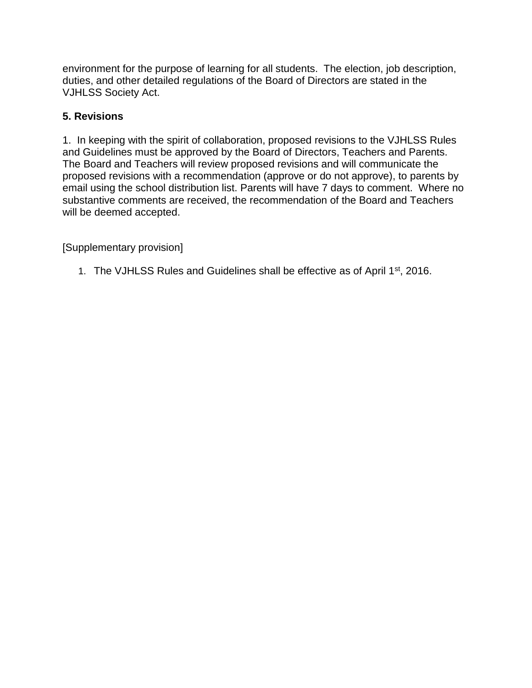environment for the purpose of learning for all students. The election, job description, duties, and other detailed regulations of the Board of Directors are stated in the VJHLSS Society Act.

# **5. Revisions**

1. In keeping with the spirit of collaboration, proposed revisions to the VJHLSS Rules and Guidelines must be approved by the Board of Directors, Teachers and Parents. The Board and Teachers will review proposed revisions and will communicate the proposed revisions with a recommendation (approve or do not approve), to parents by email using the school distribution list. Parents will have 7 days to comment. Where no substantive comments are received, the recommendation of the Board and Teachers will be deemed accepted.

[Supplementary provision]

1. The VJHLSS Rules and Guidelines shall be effective as of April 1st, 2016.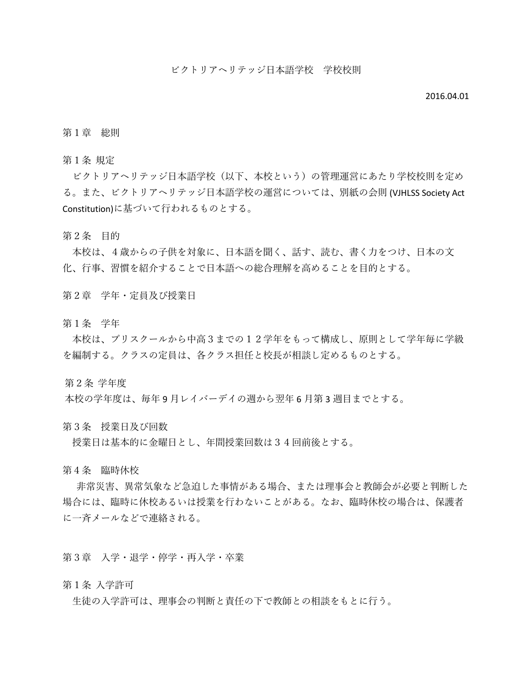#### 2016.04.01

#### 第1章 総則

第1条 規定

ビクトリアヘリテッジ日本語学校(以下、本校という)の管理運営にあたり学校校則を定め る。また、ビクトリアヘリテッジ日本語学校の運営については、別紙の会則 (VJHLSS Society Act Constitution)に基づいて行われるものとする。

第2条 目的

本校は、4歳からの子供を対象に、日本語を聞く、話す、読む、書く力をつけ、日本の文 化、行事、習慣を紹介することで日本語への総合理解を高めることを目的とする。

第2章 学年・定員及び授業日

第1条 学年

本校は、プリスクールから中高3までの12学年をもって構成し、原則として学年毎に学級 を編制する。クラスの定員は、各クラス担任と校長が相談し定めるものとする。

第2条 学年度

本校の学年度は、毎年 9 月レイバーデイの週から翌年 6 月第 3 週目までとする。

第3条 授業日及び回数

授業日は基本的に金曜日とし、年間授業回数は34回前後とする。

第4条 臨時休校

 非常災害、異常気象など急迫した事情がある場合、または理事会と教師会が必要と判断した 場合には、臨時に休校あるいは授業を行わないことがある。なお、臨時休校の場合は、保護者 に一斉メールなどで連絡される。

第3章 入学・退学・停学・再入学・卒業

第1条 入学許可

生徒の入学許可は、理事会の判断と責任の下で教師との相談をもとに行う。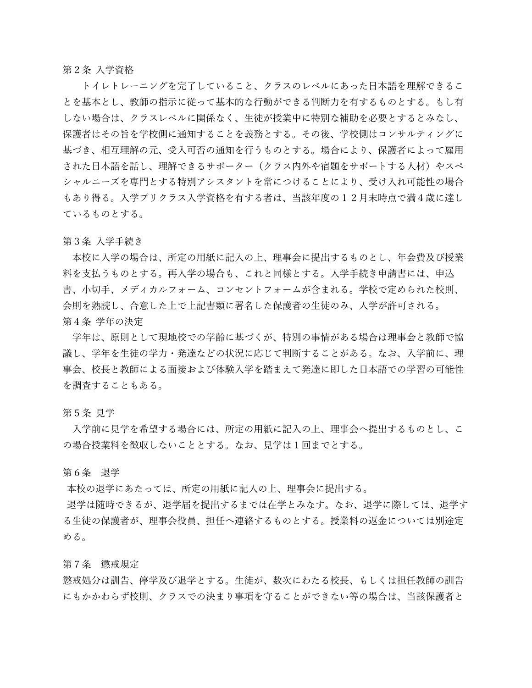第2条 入学資格

 トイレトレーニングを完了していること、クラスのレベルにあった日本語を理解できるこ とを基本とし、教師の指示に従って基本的な行動ができる判断力を有するものとする。もし有 しない場合は、クラスレベルに関係なく、生徒が授業中に特別な補助を必要とするとみなし、 保護者はその旨を学校側に通知することを義務とする。その後、学校側はコンサルティングに 基づき、相互理解の元、受入可否の通知を行うものとする。場合により、保護者によって雇用 された日本語を話し、理解できるサポーター(クラス内外や宿題をサポートする人材)やスペ シャルニーズを専門とする特別アシスタントを常につけることにより、受け入れ可能性の場合 もあり得る。入学プリクラス入学資格を有する者は、当該年度の12月末時点で満4歳に達し ているものとする。

第3条 入学手続き

本校に入学の場合は、所定の用紙に記入の上、理事会に提出するものとし、年会費及び授業 料を支払うものとする。再入学の場合も、これと同様とする。入学手続き申請書には、申込 書、小切手、メディカルフォーム、コンセントフォームが含まれる。学校で定められた校則、 会則を熟読し、合意した上で上記書類に署名した保護者の生徒のみ、入学が許可される。 第4条 学年の決定

学年は、原則として現地校での学齢に基づくが、特別の事情がある場合は理事会と教師で協 議し、学年を生徒の学力・発達などの状況に応じて判断することがある。なお、入学前に、理 事会、校長と教師による面接および体験入学を踏まえて発達に即した日本語での学習の可能性 を調査することもある。

#### 第5条 見学

入学前に見学を希望する場合には、所定の用紙に記入の上、理事会へ提出するものとし、こ の場合授業料を徴収しないこととする。なお、見学は1回までとする。

第6条 退学

本校の退学にあたっては、所定の用紙に記入の上、理事会に提出する。

 退学は随時できるが、退学届を提出するまでは在学とみなす。なお、退学に際しては、退学す る生徒の保護者が、理事会役員、担任へ連絡するものとする。授業料の返金については別途定 める。

第7条 懲戒規定

懲戒処分は訓告、停学及び退学とする。生徒が、数次にわたる校長、もしくは担任教師の訓告 にもかかわらず校則、クラスでの決まり事項を守ることができない等の場合は、当該保護者と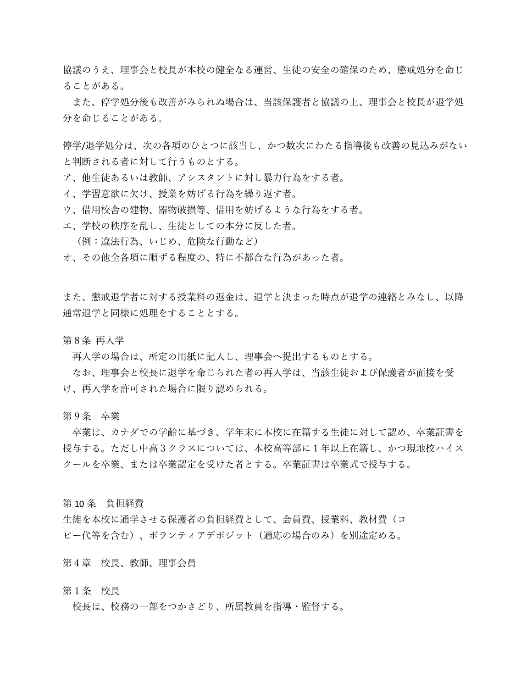協議のうえ、理事会と校長が本校の健全なる運営、生徒の安全の確保のため、懲戒処分を命じ ることがある。

また、停学処分後も改善がみられぬ場合は、当該保護者と協議の上、理事会と校長が退学処 分を命じることがある。

停学/退学処分は、次の各項のひとつに該当し、かつ数次にわたる指導後も改善の見込みがない と判断される者に対して行うものとする。

- ア、他生徒あるいは教師、アシスタントに対し暴力行為をする者。
- イ、学習意欲に欠け、授業を妨げる行為を繰り返す者。
- ウ、借用校舎の建物、器物破損等、借用を妨げるような行為をする者。
- エ、学校の秩序を乱し、生徒としての本分に反した者。
	- (例:違法行為、いじめ、危険な行動など)
- オ、その他全各項に順ずる程度の、特に不都合な行為があった者。

また、懲戒退学者に対する授業料の返金は、退学と決まった時点が退学の連絡とみなし、以降 通常退学と同様に処理をすることとする。

第8条 再入学

再入学の場合は、所定の用紙に記入し、理事会へ提出するものとする。

なお、理事会と校長に退学を命じられた者の再入学は、当該生徒および保護者が面接を受 け、再入学を許可された場合に限り認められる。

第9条 卒業

卒業は、カナダでの学齢に基づき、学年末に本校に在籍する生徒に対して認め、卒業証書を 授与する。ただし中高3クラスについては、本校高等部に1年以上在籍し、かつ現地校ハイス クールを卒業、または卒業認定を受けた者とする。卒業証書は卒業式で授与する。

第 10 条 負担経費

生徒を本校に通学させる保護者の負担経費として、会員費、授業料、教材費(コ ピー代等を含む)、ボランティアデポジット(適応の場合のみ)を別途定める。

第4章 校長、教師、理事会員

#### 第1条 校長

校長は、校務の一部をつかさどり、所属教員を指導・監督する。